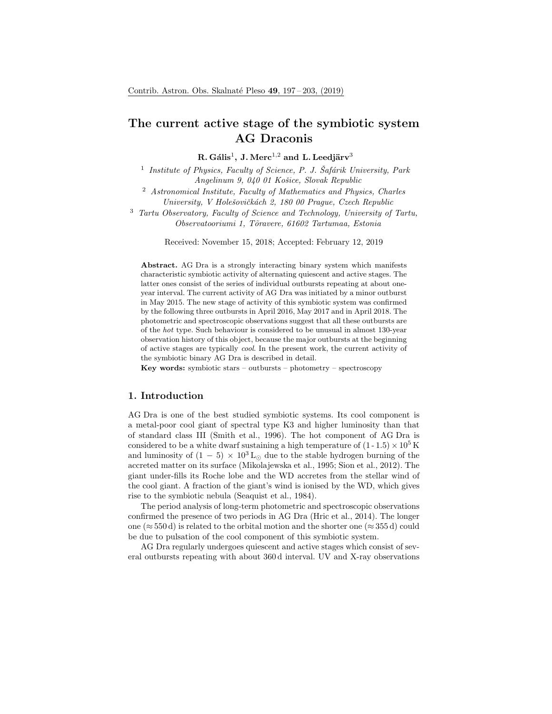# The current active stage of the symbiotic system AG Draconis

R. Gális $^1$ , J. Merc $^{1,2}$  and L. Leedjärv $^3$ 

<sup>1</sup> Institute of Physics, Faculty of Science, P. J. Šafárik University, Park Angelinum 9, 040 01 Košice, Slovak Republic

<sup>2</sup> Astronomical Institute, Faculty of Mathematics and Physics, Charles University, V Holešovičkách 2, 180 00 Prague, Czech Republic

<sup>3</sup> Tartu Observatory, Faculty of Science and Technology, University of Tartu, Observatooriumi 1, T˜oravere, 61602 Tartumaa, Estonia

Received: November 15, 2018; Accepted: February 12, 2019

Abstract. AG Dra is a strongly interacting binary system which manifests characteristic symbiotic activity of alternating quiescent and active stages. The latter ones consist of the series of individual outbursts repeating at about oneyear interval. The current activity of AG Dra was initiated by a minor outburst in May 2015. The new stage of activity of this symbiotic system was confirmed by the following three outbursts in April 2016, May 2017 and in April 2018. The photometric and spectroscopic observations suggest that all these outbursts are of the hot type. Such behaviour is considered to be unusual in almost 130-year observation history of this object, because the major outbursts at the beginning of active stages are typically cool. In the present work, the current activity of the symbiotic binary AG Dra is described in detail.

Key words: symbiotic stars – outbursts – photometry – spectroscopy

# 1. Introduction

AG Dra is one of the best studied symbiotic systems. Its cool component is a metal-poor cool giant of spectral type K3 and higher luminosity than that of standard class III (Smith et al., 1996). The hot component of AG Dra is considered to be a white dwarf sustaining a high temperature of  $(1 - 1.5) \times 10^5$  K and luminosity of  $(1 - 5) \times 10^3$  L<sub>☉</sub> due to the stable hydrogen burning of the accreted matter on its surface (Mikolajewska et al., 1995; Sion et al., 2012). The giant under-fills its Roche lobe and the WD accretes from the stellar wind of the cool giant. A fraction of the giant's wind is ionised by the WD, which gives rise to the symbiotic nebula (Seaquist et al., 1984).

The period analysis of long-term photometric and spectroscopic observations confirmed the presence of two periods in AG Dra (Hric et al., 2014). The longer one ( $\approx$  550 d) is related to the orbital motion and the shorter one ( $\approx$  355 d) could be due to pulsation of the cool component of this symbiotic system.

AG Dra regularly undergoes quiescent and active stages which consist of several outbursts repeating with about 360 d interval. UV and X-ray observations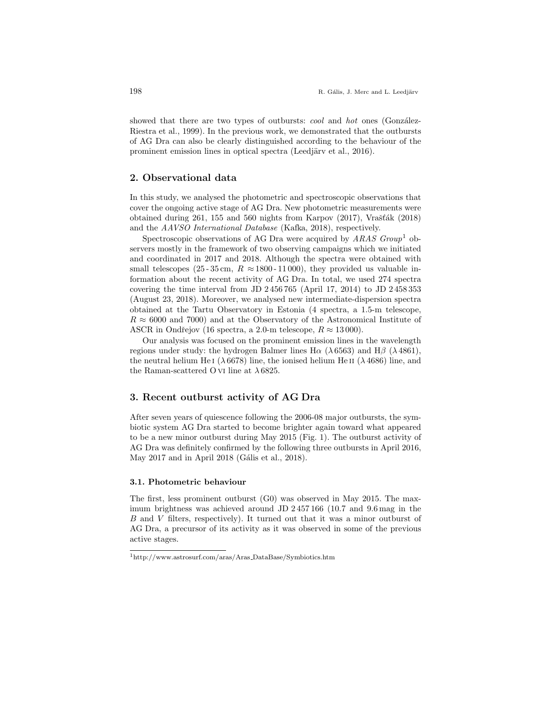showed that there are two types of outbursts: *cool* and *hot* ones (González-Riestra et al., 1999). In the previous work, we demonstrated that the outbursts of AG Dra can also be clearly distinguished according to the behaviour of the prominent emission lines in optical spectra (Leedjärv et al., 2016).

## 2. Observational data

In this study, we analysed the photometric and spectroscopic observations that cover the ongoing active stage of AG Dra. New photometric measurements were obtained during  $261$ ,  $155$  and  $560$  nights from Karpov  $(2017)$ , Vrašták  $(2018)$ and the AAVSO International Database (Kafka, 2018), respectively.

Spectroscopic observations of AG Dra were acquired by  $ARAS$   $Group<sup>1</sup>$  observers mostly in the framework of two observing campaigns which we initiated and coordinated in 2017 and 2018. Although the spectra were obtained with small telescopes (25-35 cm,  $R \approx 1800 - 11000$ ), they provided us valuable information about the recent activity of AG Dra. In total, we used 274 spectra covering the time interval from JD 2 456 765 (April 17, 2014) to JD 2 458 353 (August 23, 2018). Moreover, we analysed new intermediate-dispersion spectra obtained at the Tartu Observatory in Estonia (4 spectra, a 1.5-m telescope,  $R \approx 6000$  and 7000) and at the Observatory of the Astronomical Institute of ASCR in Ondřejov (16 spectra, a 2.0-m telescope,  $R \approx 13000$ ).

Our analysis was focused on the prominent emission lines in the wavelength regions under study: the hydrogen Balmer lines H $\alpha$  ( $\lambda$  6563) and H $\beta$  ( $\lambda$  4861), the neutral helium He i  $(\lambda 6678)$  line, the ionised helium He ii  $(\lambda 4686)$  line, and the Raman-scattered O vi line at  $\lambda$  6825.

# 3. Recent outburst activity of AG Dra

After seven years of quiescence following the 2006-08 major outbursts, the symbiotic system AG Dra started to become brighter again toward what appeared to be a new minor outburst during May 2015 (Fig. 1). The outburst activity of AG Dra was definitely confirmed by the following three outbursts in April 2016, May  $2017$  and in April  $2018$  (Gális et al.,  $2018$ ).

#### 3.1. Photometric behaviour

The first, less prominent outburst (G0) was observed in May 2015. The maximum brightness was achieved around JD 2 457 166 (10.7 and 9.6 mag in the B and V filters, respectively). It turned out that it was a minor outburst of AG Dra, a precursor of its activity as it was observed in some of the previous active stages.

<sup>1</sup>http://www.astrosurf.com/aras/Aras DataBase/Symbiotics.htm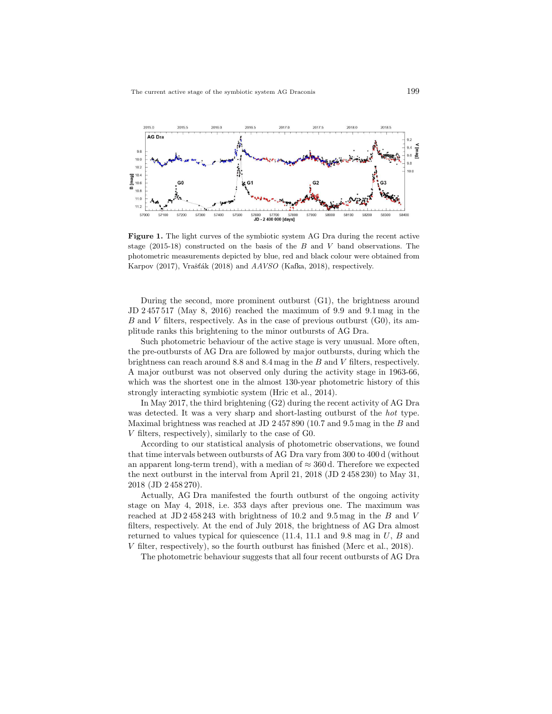

Figure 1. The light curves of the symbiotic system AG Dra during the recent active stage  $(2015-18)$  constructed on the basis of the B and V band observations. The photometric measurements depicted by blue, red and black colour were obtained from Karpov (2017), Vrašťák (2018) and AAVSO (Kafka, 2018), respectively.

During the second, more prominent outburst (G1), the brightness around JD 2 457 517 (May 8, 2016) reached the maximum of 9.9 and 9.1 mag in the B and V filters, respectively. As in the case of previous outburst  $(G_0)$ , its amplitude ranks this brightening to the minor outbursts of AG Dra.

Such photometric behaviour of the active stage is very unusual. More often, the pre-outbursts of AG Dra are followed by major outbursts, during which the brightness can reach around 8.8 and 8.4 mag in the B and V filters, respectively. A major outburst was not observed only during the activity stage in 1963-66, which was the shortest one in the almost 130-year photometric history of this strongly interacting symbiotic system (Hric et al., 2014).

In May 2017, the third brightening (G2) during the recent activity of AG Dra was detected. It was a very sharp and short-lasting outburst of the hot type. Maximal brightness was reached at JD  $2\,457\,890$  (10.7 and 9.5 mag in the B and V filters, respectively), similarly to the case of G0.

According to our statistical analysis of photometric observations, we found that time intervals between outbursts of AG Dra vary from 300 to 400 d (without an apparent long-term trend), with a median of  $\approx 360$  d. Therefore we expected the next outburst in the interval from April 21, 2018 (JD 2 458 230) to May 31, 2018 (JD 2 458 270).

Actually, AG Dra manifested the fourth outburst of the ongoing activity stage on May 4, 2018, i.e. 353 days after previous one. The maximum was reached at  $JD 2\,458\,243$  with brightness of 10.2 and 9.5 mag in the B and V filters, respectively. At the end of July 2018, the brightness of AG Dra almost returned to values typical for quiescence  $(11.4, 11.1, 11.1)$  and  $(9.8, 9.8)$  mag in  $U, B$  and V filter, respectively), so the fourth outburst has finished (Merc et al., 2018).

The photometric behaviour suggests that all four recent outbursts of AG Dra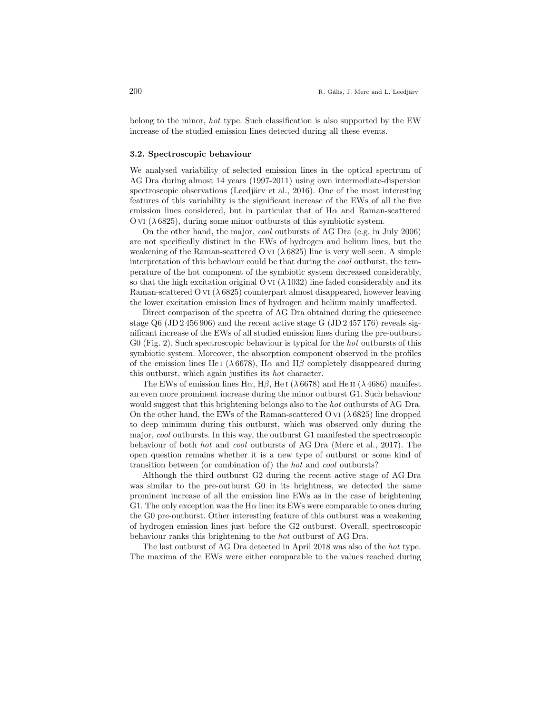belong to the minor, hot type. Such classification is also supported by the EW increase of the studied emission lines detected during all these events.

#### 3.2. Spectroscopic behaviour

We analysed variability of selected emission lines in the optical spectrum of AG Dra during almost 14 years (1997-2011) using own intermediate-dispersion spectroscopic observations (Leedjärv et al., 2016). One of the most interesting features of this variability is the significant increase of the EWs of all the five emission lines considered, but in particular that of  $H\alpha$  and Raman-scattered O v<sub>I</sub>  $(\lambda 6825)$ , during some minor outbursts of this symbiotic system.

On the other hand, the major, cool outbursts of AG Dra (e.g. in July 2006) are not specifically distinct in the EWs of hydrogen and helium lines, but the weakening of the Raman-scattered O vi  $(\lambda 6825)$  line is very well seen. A simple interpretation of this behaviour could be that during the cool outburst, the temperature of the hot component of the symbiotic system decreased considerably, so that the high excitation original O vi  $(\lambda 1032)$  line faded considerably and its Raman-scattered O vi  $(\lambda 6825)$  counterpart almost disappeared, however leaving the lower excitation emission lines of hydrogen and helium mainly unaffected.

Direct comparison of the spectra of AG Dra obtained during the quiescence stage Q6 (JD 2 456 906) and the recent active stage G (JD 2 457 176) reveals significant increase of the EWs of all studied emission lines during the pre-outburst G0 (Fig. 2). Such spectroscopic behaviour is typical for the hot outbursts of this symbiotic system. Moreover, the absorption component observed in the profiles of the emission lines He i ( $\lambda$  6678), H $\alpha$  and H $\beta$  completely disappeared during this outburst, which again justifies its hot character.

The EWs of emission lines H $\alpha$ , H $\beta$ , He i ( $\lambda$  6678) and He ii ( $\lambda$  4686) manifest an even more prominent increase during the minor outburst G1. Such behaviour would suggest that this brightening belongs also to the *hot* outbursts of AG Dra. On the other hand, the EWs of the Raman-scattered O VI  $(\lambda 6825)$  line dropped to deep minimum during this outburst, which was observed only during the major, cool outbursts. In this way, the outburst G1 manifested the spectroscopic behaviour of both hot and cool outbursts of AG Dra (Merc et al., 2017). The open question remains whether it is a new type of outburst or some kind of transition between (or combination of) the hot and cool outbursts?

Although the third outburst G2 during the recent active stage of AG Dra was similar to the pre-outburst G0 in its brightness, we detected the same prominent increase of all the emission line EWs as in the case of brightening G1. The only exception was the  $Ha$  line: its EWs were comparable to ones during the G0 pre-outburst. Other interesting feature of this outburst was a weakening of hydrogen emission lines just before the G2 outburst. Overall, spectroscopic behaviour ranks this brightening to the hot outburst of AG Dra.

The last outburst of AG Dra detected in April 2018 was also of the hot type. The maxima of the EWs were either comparable to the values reached during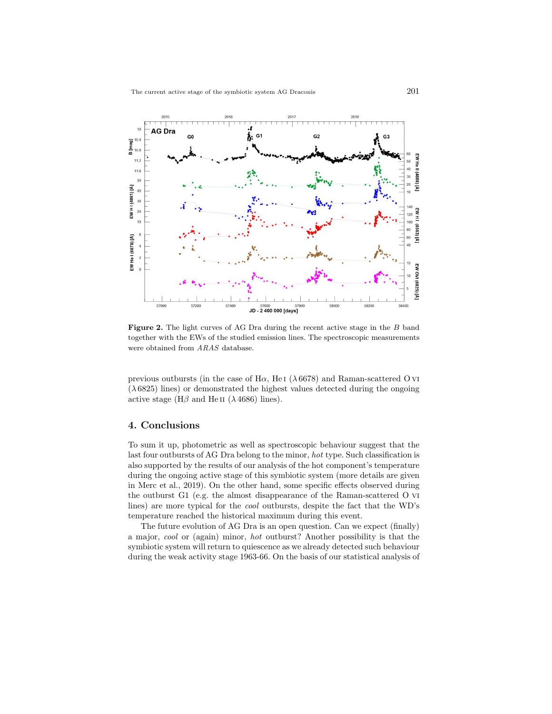

Figure 2. The light curves of AG Dra during the recent active stage in the B band together with the EWs of the studied emission lines. The spectroscopic measurements were obtained from ARAS database.

previous outbursts (in the case of  $H\alpha$ , He I ( $\lambda$  6678) and Raman-scattered O VI  $(\lambda 6825)$  lines) or demonstrated the highest values detected during the ongoing active stage ( $H\beta$  and He II ( $\lambda$  4686) lines).

## 4. Conclusions

To sum it up, photometric as well as spectroscopic behaviour suggest that the last four outbursts of AG Dra belong to the minor, hot type. Such classification is also supported by the results of our analysis of the hot component's temperature during the ongoing active stage of this symbiotic system (more details are given in Merc et al., 2019). On the other hand, some specific effects observed during the outburst G1 (e.g. the almost disappearance of the Raman-scattered O vi lines) are more typical for the cool outbursts, despite the fact that the WD's temperature reached the historical maximum during this event.

The future evolution of AG Dra is an open question. Can we expect (finally) a major, cool or (again) minor, hot outburst? Another possibility is that the symbiotic system will return to quiescence as we already detected such behaviour during the weak activity stage 1963-66. On the basis of our statistical analysis of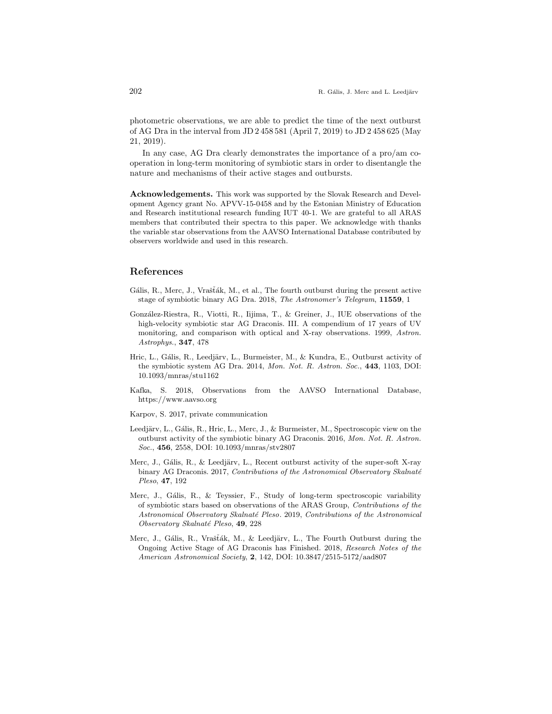photometric observations, we are able to predict the time of the next outburst of AG Dra in the interval from JD 2 458 581 (April 7, 2019) to JD 2 458 625 (May 21, 2019).

In any case, AG Dra clearly demonstrates the importance of a pro/am cooperation in long-term monitoring of symbiotic stars in order to disentangle the nature and mechanisms of their active stages and outbursts.

Acknowledgements. This work was supported by the Slovak Research and Development Agency grant No. APVV-15-0458 and by the Estonian Ministry of Education and Research institutional research funding IUT 40-1. We are grateful to all ARAS members that contributed their spectra to this paper. We acknowledge with thanks the variable star observations from the AAVSO International Database contributed by observers worldwide and used in this research.

### References

- Gális, R., Merc, J., Vrašťák, M., et al., The fourth outburst during the present active stage of symbiotic binary AG Dra. 2018, The Astronomer's Telegram, 11559, 1
- González-Riestra, R., Viotti, R., Iijima, T., & Greiner, J., IUE observations of the high-velocity symbiotic star AG Draconis. III. A compendium of 17 years of UV monitoring, and comparison with optical and X-ray observations. 1999, Astron. Astrophys., 347, 478
- Hric, L., Gális, R., Leedjärv, L., Burmeister, M., & Kundra, E., Outburst activity of the symbiotic system AG Dra. 2014, Mon. Not. R. Astron. Soc., 443, 1103, DOI: 10.1093/mnras/stu1162
- Kafka, S. 2018, Observations from the AAVSO International Database, https://www.aavso.org
- Karpov, S. 2017, private communication
- Leedjärv, L., Gális, R., Hric, L., Merc, J., & Burmeister, M., Spectroscopic view on the outburst activity of the symbiotic binary AG Draconis. 2016, Mon. Not. R. Astron. Soc., 456, 2558, DOI: 10.1093/mnras/stv2807
- Merc, J., Gális, R., & Leedjärv, L., Recent outburst activity of the super-soft X-ray binary AG Draconis. 2017, Contributions of the Astronomical Observatory Skalnaté Pleso, 47, 192
- Merc, J., Gális, R., & Teyssier, F., Study of long-term spectroscopic variability of symbiotic stars based on observations of the ARAS Group, Contributions of the Astronomical Observatory Skalnaté Pleso. 2019, Contributions of the Astronomical Observatory Skalnaté Pleso, 49, 228
- Merc, J., Gális, R., Vrašťák, M., & Leedjärv, L., The Fourth Outburst during the Ongoing Active Stage of AG Draconis has Finished. 2018, Research Notes of the American Astronomical Society, 2, 142, DOI: 10.3847/2515-5172/aad807